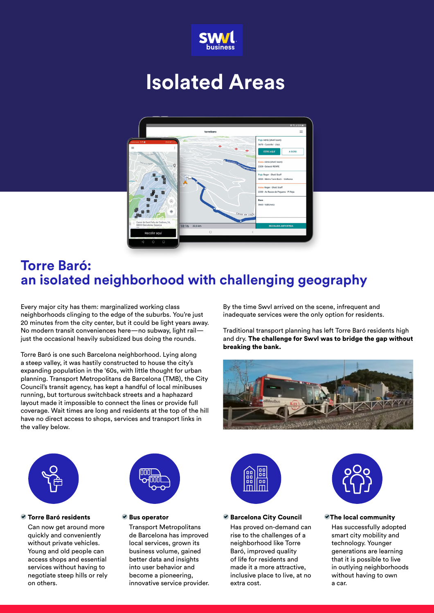

# **Isolated Areas**



## **Torre Baró: an isolated neighborhood with challenging geography**

Every major city has them: marginalized working class neighborhoods clinging to the edge of the suburbs. You're just 20 minutes from the city center, but it could be light years away. No modern transit conveniences here—no subway, light rail just the occasional heavily subsidized bus doing the rounds.

Torre Baró is one such Barcelona neighborhood. Lying along a steep valley, it was hastily constructed to house the city's expanding population in the '60s, with little thought for urban planning. Transport Metropolitans de Barcelona (TMB), the City Council's transit agency, has kept a handful of local minibuses running, but torturous switchback streets and a haphazard layout made it impossible to connect the lines or provide full coverage. Wait times are long and residents at the top of the hill have no direct access to shops, services and transport links in the valley below.

By the time Swvl arrived on the scene, infrequent and inadequate services were the only option for residents.

Traditional transport planning has left Torre Baró residents high and dry. The challenge for Swvl was to bridge the gap without breaking the bank.





### Torre Baró residents

Can now get around more quickly and conveniently without private vehicles. Young and old people can access shops and essential services without having to negotiate steep hills or rely on others.



Bus operator

Transport Metropolitans de Barcelona has improved local services, grown its business volume, gained better data and insights into user behavior and become a pioneering, innovative service provider.



### ● Barcelona City Council

Has proved on-demand can rise to the challenges of a neighborhood like Torre Baró, improved quality of life for residents and made it a more attractive, inclusive place to live, at no extra cost.



### The local community

Has successfully adopted smart city mobility and technology. Younger generations are learning that it is possible to live in outlying neighborhoods without having to own a car.